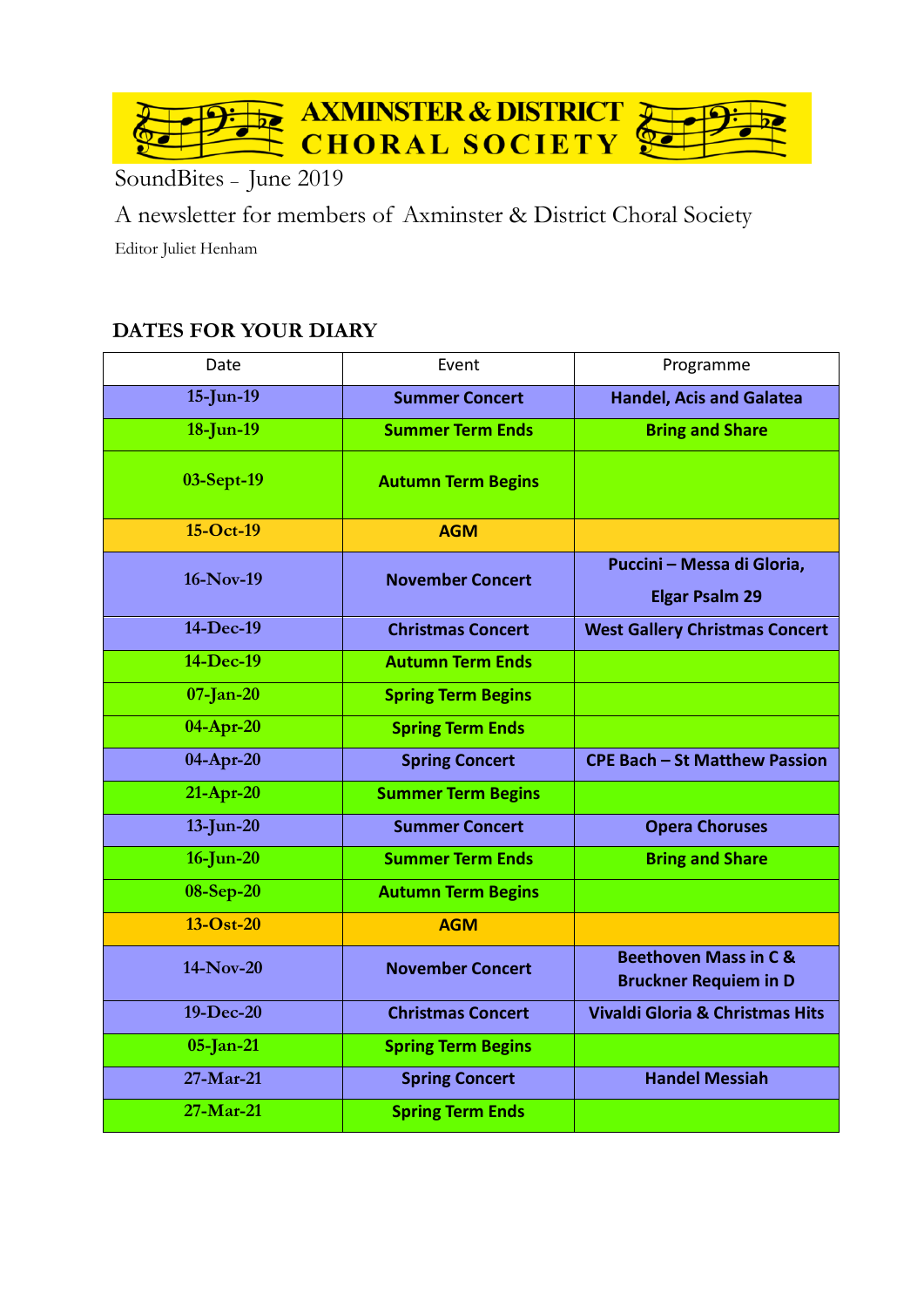

SoundBites – June 2019

A newsletter for members of Axminster & District Choral Society Editor Juliet Henham

# **DATES FOR YOUR DIARY**

| Date         | Event                     | Programme                                                        |  |
|--------------|---------------------------|------------------------------------------------------------------|--|
| $15$ -Jun-19 | <b>Summer Concert</b>     | <b>Handel, Acis and Galatea</b>                                  |  |
| $18$ -Jun-19 | <b>Summer Term Ends</b>   | <b>Bring and Share</b>                                           |  |
| 03-Sept-19   | <b>Autumn Term Begins</b> |                                                                  |  |
| 15-Oct-19    | <b>AGM</b>                |                                                                  |  |
| 16-Nov-19    | <b>November Concert</b>   | Puccini - Messa di Gloria,<br><b>Elgar Psalm 29</b>              |  |
| 14-Dec-19    | <b>Christmas Concert</b>  | <b>West Gallery Christmas Concert</b>                            |  |
| 14-Dec-19    | <b>Autumn Term Ends</b>   |                                                                  |  |
| $07$ -Jan-20 | <b>Spring Term Begins</b> |                                                                  |  |
| $04$ -Apr-20 | <b>Spring Term Ends</b>   |                                                                  |  |
| 04-Apr-20    | <b>Spring Concert</b>     | <b>CPE Bach - St Matthew Passion</b>                             |  |
| $21-Apr-20$  | <b>Summer Term Begins</b> |                                                                  |  |
| $13$ -Jun-20 | <b>Summer Concert</b>     | <b>Opera Choruses</b>                                            |  |
| $16$ -Jun-20 | <b>Summer Term Ends</b>   | <b>Bring and Share</b>                                           |  |
| 08-Sep-20    | <b>Autumn Term Begins</b> |                                                                  |  |
| $13-Ost-20$  | <b>AGM</b>                |                                                                  |  |
| 14-Nov-20    | <b>November Concert</b>   | <b>Beethoven Mass in C &amp;</b><br><b>Bruckner Requiem in D</b> |  |
| 19-Dec-20    | <b>Christmas Concert</b>  | <b>Vivaldi Gloria &amp; Christmas Hits</b>                       |  |
| $05$ -Jan-21 | <b>Spring Term Begins</b> |                                                                  |  |
| 27-Mar-21    | <b>Spring Concert</b>     | <b>Handel Messiah</b>                                            |  |
| 27-Mar-21    | <b>Spring Term Ends</b>   |                                                                  |  |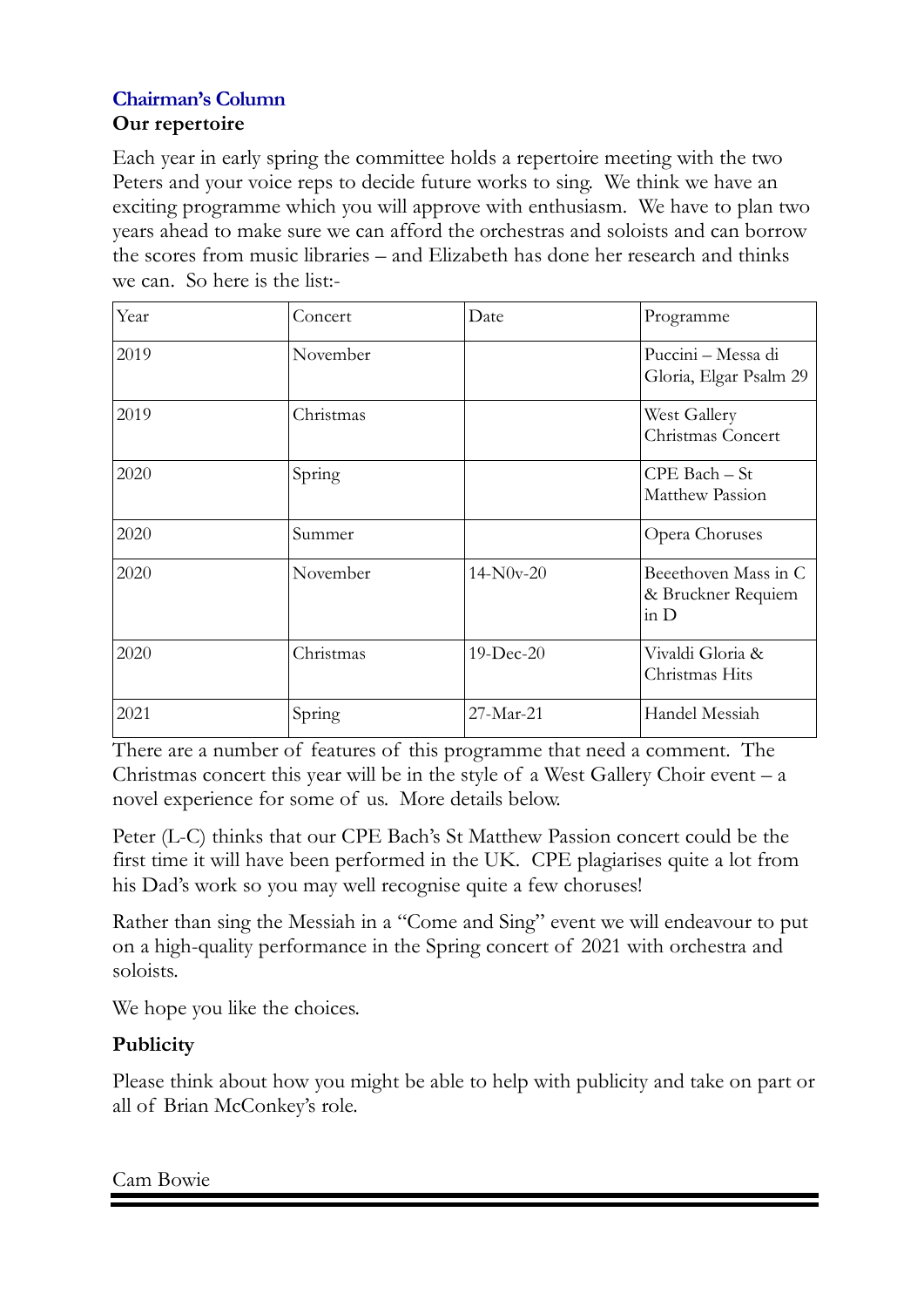## **Chairman's Column** **Our repertoire**

Each year in early spring the committee holds a repertoire meeting with the two Peters and your voice reps to decide future works to sing. We think we have an exciting programme which you will approve with enthusiasm. We have to plan two years ahead to make sure we can afford the orchestras and soloists and can borrow the scores from music libraries – and Elizabeth has done her research and thinks we can. So here is the list:-

| Year | Concert   | Date        | Programme                                            |
|------|-----------|-------------|------------------------------------------------------|
| 2019 | November  |             | Puccini - Messa di<br>Gloria, Elgar Psalm 29         |
| 2019 | Christmas |             | West Gallery<br>Christmas Concert                    |
| 2020 | Spring    |             | $CPE$ Bach $-$ St<br>Matthew Passion                 |
| 2020 | Summer    |             | Opera Choruses                                       |
| 2020 | November  | $14-N0v-20$ | Beeethoven Mass in C<br>& Bruckner Requiem<br>in $D$ |
| 2020 | Christmas | 19-Dec-20   | Vivaldi Gloria &<br>Christmas Hits                   |
| 2021 | Spring    | $27-Mar-21$ | Handel Messiah                                       |

There are a number of features of this programme that need a comment. The Christmas concert this year will be in the style of a West Gallery Choir event  $-a$ novel experience for some of us. More details below.

Peter (L-C) thinks that our CPE Bach's St Matthew Passion concert could be the first time it will have been performed in the UK. CPE plagiarises quite a lot from his Dad's work so you may well recognise quite a few choruses!

Rather than sing the Messiah in a "Come and Sing" event we will endeavour to put on a high-quality performance in the Spring concert of 2021 with orchestra and soloists.

We hope you like the choices.

# **Publicity**

Please think about how you might be able to help with publicity and take on part or all of Brian McConkey's role.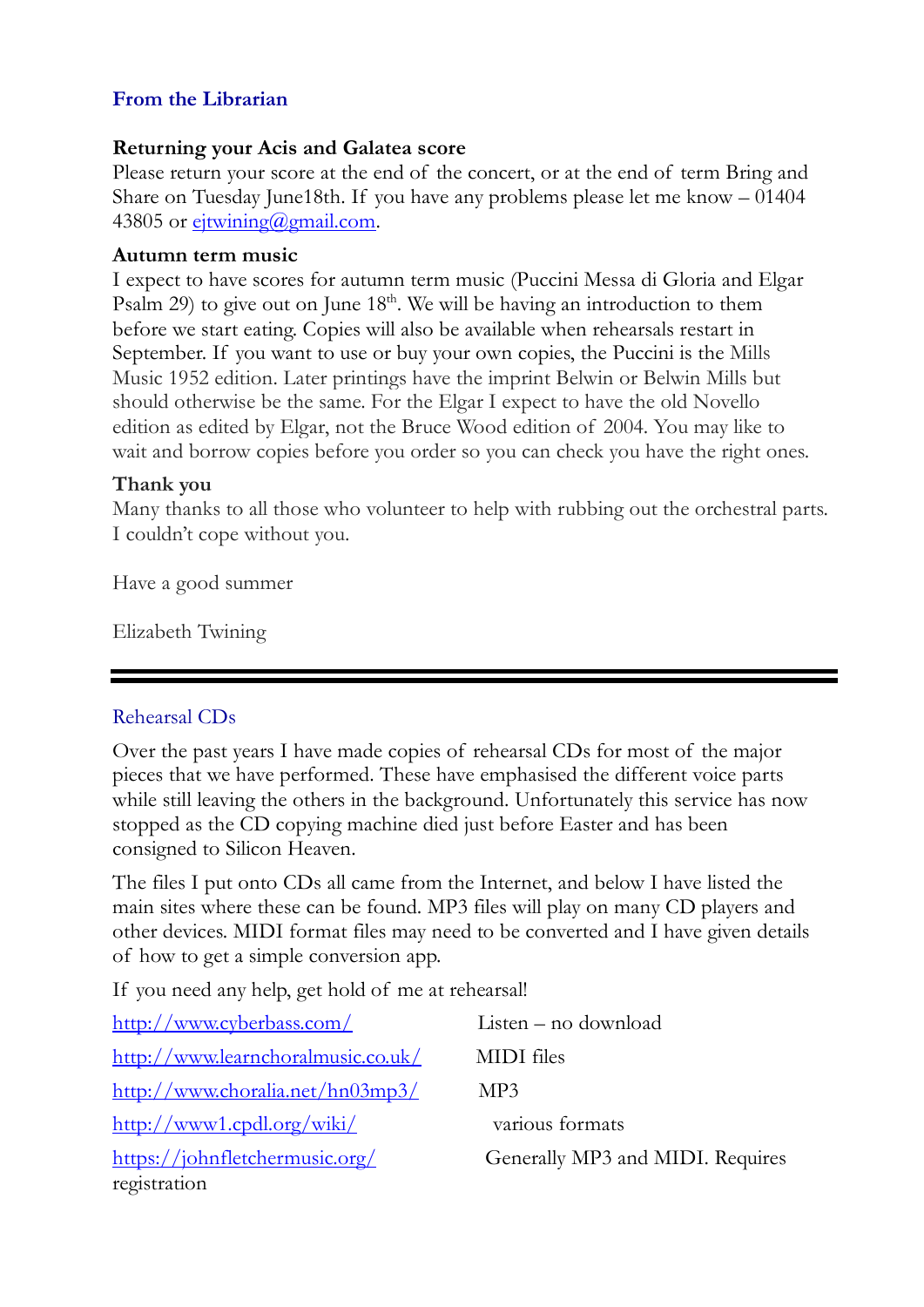## **From the Librarian**

#### **Returning your Acis and Galatea score**

Please return your score at the end of the concert, or at the end of term Bring and Share on Tuesday June18th. If you have any problems please let me know – 01404 43805 or ejtwining@gmail.com.

#### **Autumn term music**

I expect to have scores for autumn term music (Puccini Messa di Gloria and Elgar Psalm 29) to give out on June 18<sup>th</sup>. We will be having an introduction to them before we start eating. Copies will also be available when rehearsals restart in September. If you want to use or buy your own copies, the Puccini is the Mills Music 1952 edition. Later printings have the imprint Belwin or Belwin Mills but should otherwise be the same. For the Elgar I expect to have the old Novello edition as edited by Elgar, not the Bruce Wood edition of 2004. You may like to wait and borrow copies before you order so you can check you have the right ones.

#### **Thank you**

Many thanks to all those who volunteer to help with rubbing out the orchestral parts. I couldn't cope without you.

Have a good summer

Elizabeth Twining

## Rehearsal CDs

Over the past years I have made copies of rehearsal CDs for most of the major pieces that we have performed. These have emphasised the different voice parts while still leaving the others in the background. Unfortunately this service has now stopped as the CD copying machine died just before Easter and has been consigned to Silicon Heaven.

The files I put onto CDs all came from the Internet, and below I have listed the main sites where these can be found. MP3 files will play on many CD players and other devices. MIDI format files may need to be converted and I have given details of how to get a simple conversion app.

If you need any help, get hold of me at rehearsal!

| http://www.cyberbass.com/          | $Listener - no download$         |
|------------------------------------|----------------------------------|
| http://www.learnchoralmusic.co.uk/ | <b>MIDI</b> files                |
| http://www.choralia.net/hn03mp3/   | MP3                              |
| http://www1.cpdl.org/wiki/         | various formats                  |
| https://johnfletchermusic.org/     | Generally MP3 and MIDI. Requires |
| registration                       |                                  |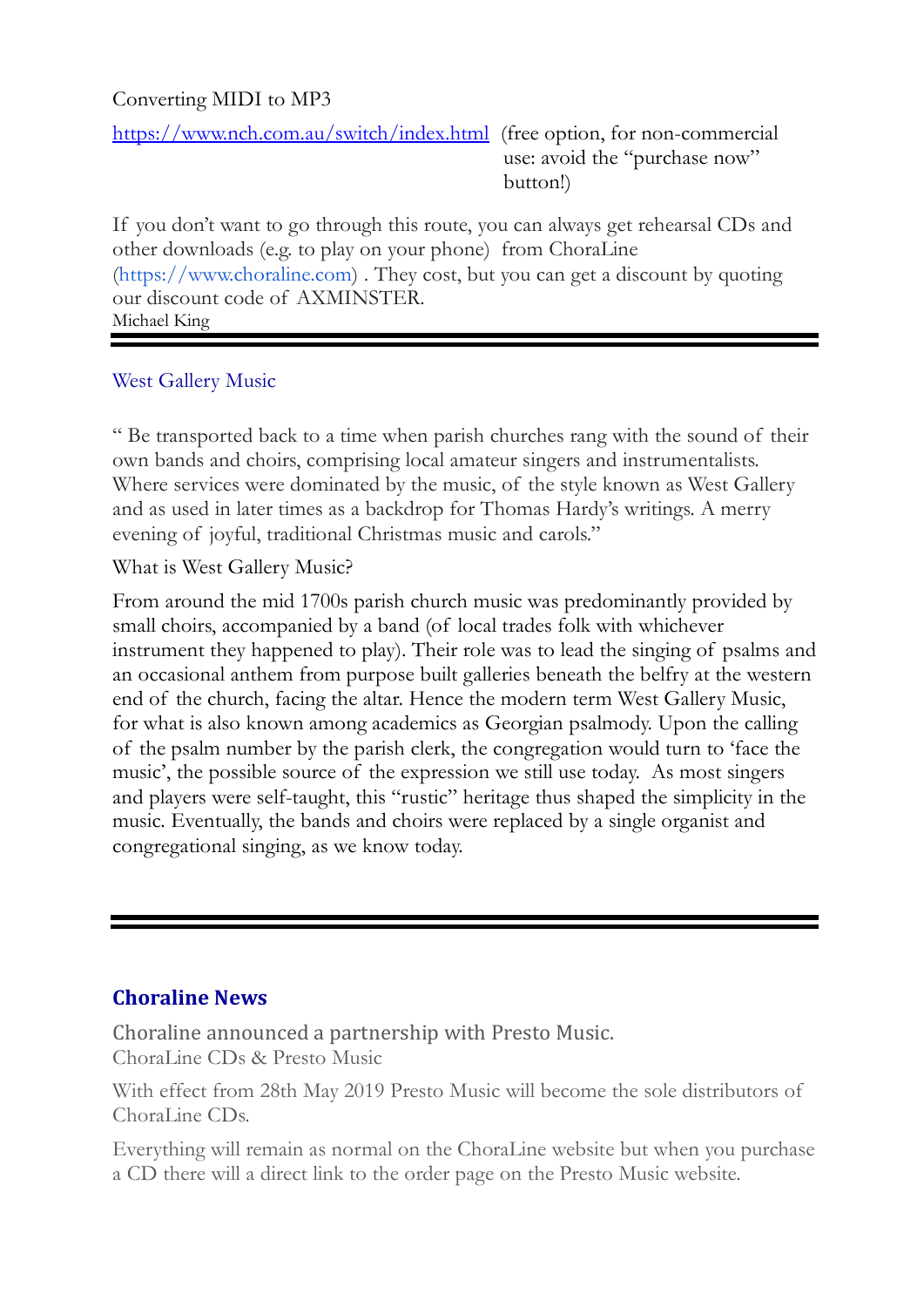## Converting MIDI to MP3

https://www.nch.com.au/switch/index.html (free option, for non-commercial use: avoid the "purchase now" button!)

If you don't want to go through this route, you can always get rehearsal CDs and other downloads (e.g. to play on your phone) from ChoraLine (https://www.choraline.com) . They cost, but you can get a discount by quoting our discount code of AXMINSTER. Michael King

## West Gallery Music

" Be transported back to a time when parish churches rang with the sound of their own bands and choirs, comprising local amateur singers and instrumentalists. Where services were dominated by the music, of the style known as West Gallery and as used in later times as a backdrop for Thomas Hardy's writings. A merry evening of joyful, traditional Christmas music and carols."

What is West Gallery Music?

From around the mid 1700s parish church music was predominantly provided by small choirs, accompanied by a band (of local trades folk with whichever instrument they happened to play). Their role was to lead the singing of psalms and an occasional anthem from purpose built galleries beneath the belfry at the western end of the church, facing the altar. Hence the modern term West Gallery Music, for what is also known among academics as Georgian psalmody. Upon the calling of the psalm number by the parish clerk, the congregation would turn to 'face the music', the possible source of the expression we still use today. As most singers and players were self-taught, this "rustic" heritage thus shaped the simplicity in the music. Eventually, the bands and choirs were replaced by a single organist and congregational singing, as we know today.

## **Choraline News**

Choraline announced a partnership with Presto Music. ChoraLine CDs & Presto Music

With effect from 28th May 2019 Presto Music will become the sole distributors of ChoraLine CDs.

Everything will remain as normal on the ChoraLine website but when you purchase a CD there will a direct link to the order page on the Presto Music website.